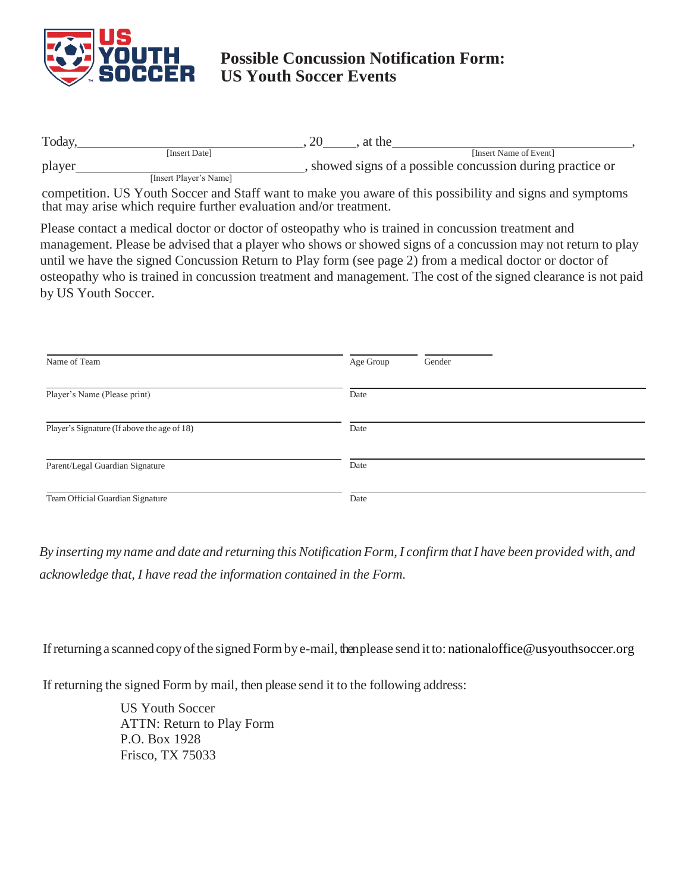

## **Possible Concussion Notification Form: US Youth Soccer Events**

| Today. |                        | 20<br>at the                                               |  |
|--------|------------------------|------------------------------------------------------------|--|
|        | [Insert Date]          | [Insert Name of Event]                                     |  |
| player |                        | , showed signs of a possible concussion during practice or |  |
|        | [Insert Player's Name] |                                                            |  |

competition. US Youth Soccer and Staff want to make you aware of this possibility and signs and symptoms that may arise which require further evaluation and/or treatment.

Please contact a medical doctor or doctor of osteopathy who is trained in concussion treatment and management. Please be advised that a player who shows or showed signs of a concussion may not return to play until we have the signed Concussion Return to Play form (see page 2) from a medical doctor or doctor of osteopathy who is trained in concussion treatment and management. The cost of the signed clearance is not paid by US Youth Soccer.

| Name of Team                                | Age Group<br>Gender |
|---------------------------------------------|---------------------|
| Player's Name (Please print)                | Date                |
| Player's Signature (If above the age of 18) | Date                |
| Parent/Legal Guardian Signature             | Date                |
| Team Official Guardian Signature            | Date                |

By inserting my name and date and returning this Notification Form, I confirm that I have been provided with, and *acknowledge that, I have read the information contained in the Form.*

If returning a scanned copy of the signed Form by e-mail, then please send it to: [nationaloffice@usyouthsoccer.org](mailto:MedicalClaims@calnorth.org)

If returning the signed Form by mail, then please send it to the following address:

US Youth Soccer ATTN: Return to Play Form P.O. Box 1928 Frisco, TX 75033